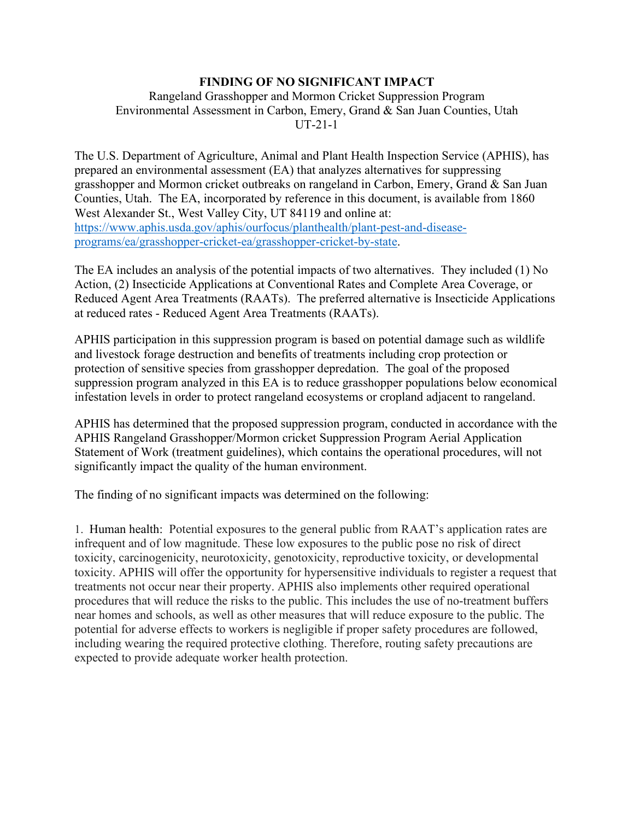## **FINDING OF NO SIGNIFICANT IMPACT**

## Rangeland Grasshopper and Mormon Cricket Suppression Program Environmental Assessment in Carbon, Emery, Grand & San Juan Counties, Utah UT-21-1

The U.S. Department of Agriculture, Animal and Plant Health Inspection Service (APHIS), has prepared an environmental assessment (EA) that analyzes alternatives for suppressing grasshopper and Mormon cricket outbreaks on rangeland in Carbon, Emery, Grand & San Juan Counties, Utah. The EA, incorporated by reference in this document, is available from 1860 West Alexander St., West Valley City, UT 84119 and online at: [https://www.aphis.usda.gov/aphis/ourfocus/planthealth/plant-pest-and-disease](https://www.aphis.usda.gov/aphis/ourfocus/planthealth/plant-pest-and-disease-programs/ea/grasshopper-cricket-ea/grasshopper-cricket-by-state)[programs/ea/grasshopper-cricket-ea/grasshopper-cricket-by-state.](https://www.aphis.usda.gov/aphis/ourfocus/planthealth/plant-pest-and-disease-programs/ea/grasshopper-cricket-ea/grasshopper-cricket-by-state)

The EA includes an analysis of the potential impacts of two alternatives. They included (1) No Action, (2) Insecticide Applications at Conventional Rates and Complete Area Coverage, or Reduced Agent Area Treatments (RAATs). The preferred alternative is Insecticide Applications at reduced rates - Reduced Agent Area Treatments (RAATs).

APHIS participation in this suppression program is based on potential damage such as wildlife and livestock forage destruction and benefits of treatments including crop protection or protection of sensitive species from grasshopper depredation. The goal of the proposed suppression program analyzed in this EA is to reduce grasshopper populations below economical infestation levels in order to protect rangeland ecosystems or cropland adjacent to rangeland.

APHIS has determined that the proposed suppression program, conducted in accordance with the APHIS Rangeland Grasshopper/Mormon cricket Suppression Program Aerial Application Statement of Work (treatment guidelines), which contains the operational procedures, will not significantly impact the quality of the human environment.

The finding of no significant impacts was determined on the following:

1. Human health: Potential exposures to the general public from RAAT's application rates are infrequent and of low magnitude. These low exposures to the public pose no risk of direct toxicity, carcinogenicity, neurotoxicity, genotoxicity, reproductive toxicity, or developmental toxicity. APHIS will offer the opportunity for hypersensitive individuals to register a request that treatments not occur near their property. APHIS also implements other required operational procedures that will reduce the risks to the public. This includes the use of no-treatment buffers near homes and schools, as well as other measures that will reduce exposure to the public. The potential for adverse effects to workers is negligible if proper safety procedures are followed, including wearing the required protective clothing. Therefore, routing safety precautions are expected to provide adequate worker health protection.